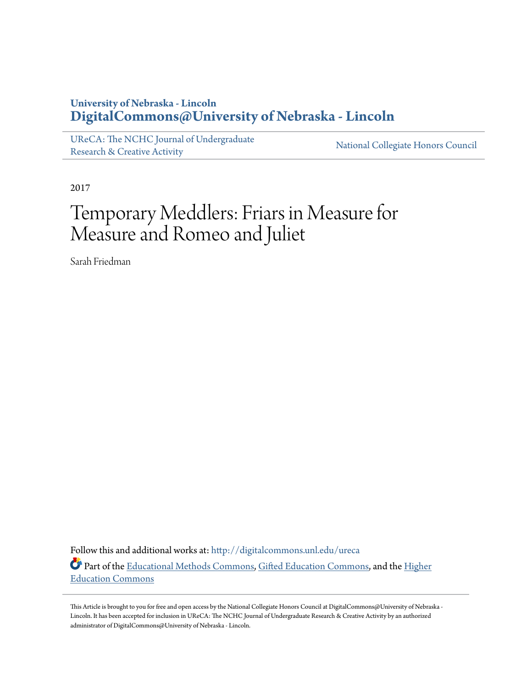## **University of Nebraska - Lincoln [DigitalCommons@University of Nebraska - Lincoln](http://digitalcommons.unl.edu?utm_source=digitalcommons.unl.edu%2Fureca%2F28&utm_medium=PDF&utm_campaign=PDFCoverPages)**

[UReCA: The NCHC Journal of Undergraduate](http://digitalcommons.unl.edu/ureca?utm_source=digitalcommons.unl.edu%2Fureca%2F28&utm_medium=PDF&utm_campaign=PDFCoverPages) [Research & Creative Activity](http://digitalcommons.unl.edu/ureca?utm_source=digitalcommons.unl.edu%2Fureca%2F28&utm_medium=PDF&utm_campaign=PDFCoverPages)

[National Collegiate Honors Council](http://digitalcommons.unl.edu/natlcollhonors?utm_source=digitalcommons.unl.edu%2Fureca%2F28&utm_medium=PDF&utm_campaign=PDFCoverPages)

2017

## Temporary Meddlers: Friars in Measure for Measure and Romeo and Juliet

Sarah Friedman

Follow this and additional works at: [http://digitalcommons.unl.edu/ureca](http://digitalcommons.unl.edu/ureca?utm_source=digitalcommons.unl.edu%2Fureca%2F28&utm_medium=PDF&utm_campaign=PDFCoverPages) Part of the [Educational Methods Commons,](http://network.bepress.com/hgg/discipline/1227?utm_source=digitalcommons.unl.edu%2Fureca%2F28&utm_medium=PDF&utm_campaign=PDFCoverPages) [Gifted Education Commons,](http://network.bepress.com/hgg/discipline/1048?utm_source=digitalcommons.unl.edu%2Fureca%2F28&utm_medium=PDF&utm_campaign=PDFCoverPages) and the [Higher](http://network.bepress.com/hgg/discipline/1245?utm_source=digitalcommons.unl.edu%2Fureca%2F28&utm_medium=PDF&utm_campaign=PDFCoverPages) [Education Commons](http://network.bepress.com/hgg/discipline/1245?utm_source=digitalcommons.unl.edu%2Fureca%2F28&utm_medium=PDF&utm_campaign=PDFCoverPages)

This Article is brought to you for free and open access by the National Collegiate Honors Council at DigitalCommons@University of Nebraska - Lincoln. It has been accepted for inclusion in UReCA: The NCHC Journal of Undergraduate Research & Creative Activity by an authorized administrator of DigitalCommons@University of Nebraska - Lincoln.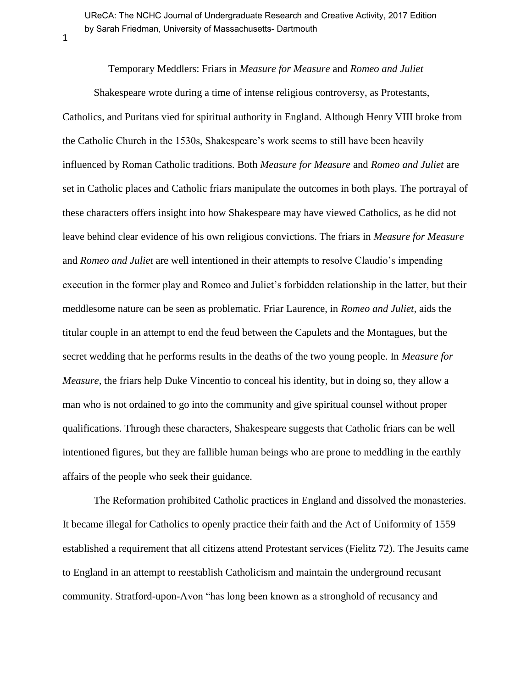UReCA: The NCHC Journal of Undergraduate Research and Creative Activity, 2017 Edition by Sarah Friedman, University of Massachusetts- Dartmouth

1

Temporary Meddlers: Friars in *Measure for Measure* and *Romeo and Juliet*

Shakespeare wrote during a time of intense religious controversy, as Protestants, Catholics, and Puritans vied for spiritual authority in England. Although Henry VIII broke from the Catholic Church in the 1530s, Shakespeare's work seems to still have been heavily influenced by Roman Catholic traditions. Both *Measure for Measure* and *Romeo and Juliet* are set in Catholic places and Catholic friars manipulate the outcomes in both plays. The portrayal of these characters offers insight into how Shakespeare may have viewed Catholics, as he did not leave behind clear evidence of his own religious convictions. The friars in *Measure for Measure*  and *Romeo and Juliet* are well intentioned in their attempts to resolve Claudio's impending execution in the former play and Romeo and Juliet's forbidden relationship in the latter, but their meddlesome nature can be seen as problematic. Friar Laurence, in *Romeo and Juliet,* aids the titular couple in an attempt to end the feud between the Capulets and the Montagues, but the secret wedding that he performs results in the deaths of the two young people. In *Measure for Measure,* the friars help Duke Vincentio to conceal his identity, but in doing so, they allow a man who is not ordained to go into the community and give spiritual counsel without proper qualifications. Through these characters, Shakespeare suggests that Catholic friars can be well intentioned figures, but they are fallible human beings who are prone to meddling in the earthly affairs of the people who seek their guidance.

The Reformation prohibited Catholic practices in England and dissolved the monasteries. It became illegal for Catholics to openly practice their faith and the Act of Uniformity of 1559 established a requirement that all citizens attend Protestant services (Fielitz 72). The Jesuits came to England in an attempt to reestablish Catholicism and maintain the underground recusant community. Stratford-upon-Avon "has long been known as a stronghold of recusancy and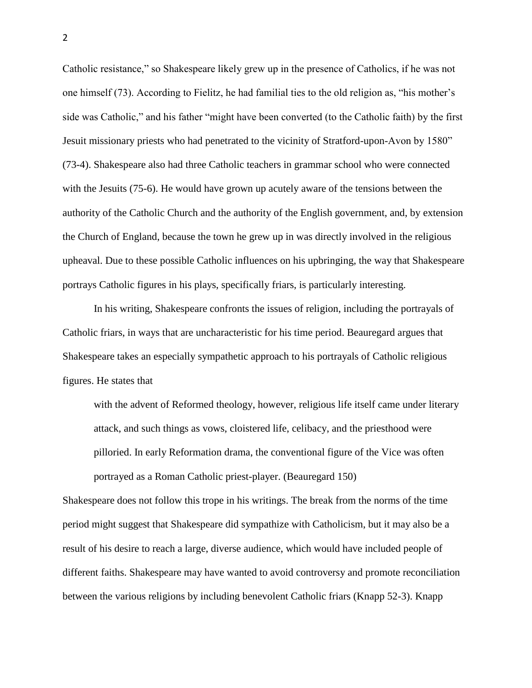Catholic resistance," so Shakespeare likely grew up in the presence of Catholics, if he was not one himself (73). According to Fielitz, he had familial ties to the old religion as, "his mother's side was Catholic," and his father "might have been converted (to the Catholic faith) by the first Jesuit missionary priests who had penetrated to the vicinity of Stratford-upon-Avon by 1580" (73-4). Shakespeare also had three Catholic teachers in grammar school who were connected with the Jesuits (75-6). He would have grown up acutely aware of the tensions between the authority of the Catholic Church and the authority of the English government, and, by extension the Church of England, because the town he grew up in was directly involved in the religious upheaval. Due to these possible Catholic influences on his upbringing, the way that Shakespeare portrays Catholic figures in his plays, specifically friars, is particularly interesting.

In his writing, Shakespeare confronts the issues of religion, including the portrayals of Catholic friars, in ways that are uncharacteristic for his time period. Beauregard argues that Shakespeare takes an especially sympathetic approach to his portrayals of Catholic religious figures. He states that

with the advent of Reformed theology, however, religious life itself came under literary attack, and such things as vows, cloistered life, celibacy, and the priesthood were pilloried. In early Reformation drama, the conventional figure of the Vice was often portrayed as a Roman Catholic priest-player. (Beauregard 150)

Shakespeare does not follow this trope in his writings. The break from the norms of the time period might suggest that Shakespeare did sympathize with Catholicism, but it may also be a result of his desire to reach a large, diverse audience, which would have included people of different faiths. Shakespeare may have wanted to avoid controversy and promote reconciliation between the various religions by including benevolent Catholic friars (Knapp 52-3). Knapp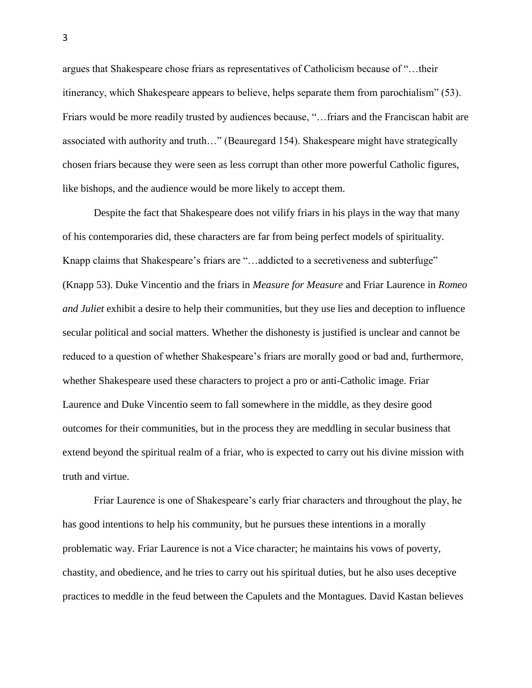argues that Shakespeare chose friars as representatives of Catholicism because of "…their itinerancy, which Shakespeare appears to believe, helps separate them from parochialism" (53). Friars would be more readily trusted by audiences because, "…friars and the Franciscan habit are associated with authority and truth…" (Beauregard 154). Shakespeare might have strategically chosen friars because they were seen as less corrupt than other more powerful Catholic figures, like bishops, and the audience would be more likely to accept them.

Despite the fact that Shakespeare does not vilify friars in his plays in the way that many of his contemporaries did, these characters are far from being perfect models of spirituality. Knapp claims that Shakespeare's friars are "…addicted to a secretiveness and subterfuge" (Knapp 53). Duke Vincentio and the friars in *Measure for Measure* and Friar Laurence in *Romeo and Juliet* exhibit a desire to help their communities, but they use lies and deception to influence secular political and social matters. Whether the dishonesty is justified is unclear and cannot be reduced to a question of whether Shakespeare's friars are morally good or bad and, furthermore, whether Shakespeare used these characters to project a pro or anti-Catholic image. Friar Laurence and Duke Vincentio seem to fall somewhere in the middle, as they desire good outcomes for their communities, but in the process they are meddling in secular business that extend beyond the spiritual realm of a friar, who is expected to carry out his divine mission with truth and virtue.

Friar Laurence is one of Shakespeare's early friar characters and throughout the play, he has good intentions to help his community, but he pursues these intentions in a morally problematic way. Friar Laurence is not a Vice character; he maintains his vows of poverty, chastity, and obedience, and he tries to carry out his spiritual duties, but he also uses deceptive practices to meddle in the feud between the Capulets and the Montagues. David Kastan believes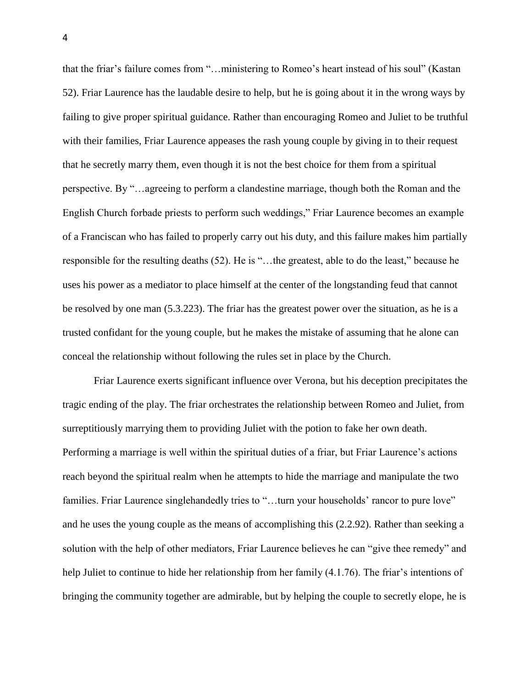that the friar's failure comes from "…ministering to Romeo's heart instead of his soul" (Kastan 52). Friar Laurence has the laudable desire to help, but he is going about it in the wrong ways by failing to give proper spiritual guidance. Rather than encouraging Romeo and Juliet to be truthful with their families, Friar Laurence appeases the rash young couple by giving in to their request that he secretly marry them, even though it is not the best choice for them from a spiritual perspective. By "…agreeing to perform a clandestine marriage, though both the Roman and the English Church forbade priests to perform such weddings," Friar Laurence becomes an example of a Franciscan who has failed to properly carry out his duty, and this failure makes him partially responsible for the resulting deaths (52). He is "…the greatest, able to do the least," because he uses his power as a mediator to place himself at the center of the longstanding feud that cannot be resolved by one man (5.3.223). The friar has the greatest power over the situation, as he is a trusted confidant for the young couple, but he makes the mistake of assuming that he alone can conceal the relationship without following the rules set in place by the Church.

Friar Laurence exerts significant influence over Verona, but his deception precipitates the tragic ending of the play. The friar orchestrates the relationship between Romeo and Juliet, from surreptitiously marrying them to providing Juliet with the potion to fake her own death. Performing a marriage is well within the spiritual duties of a friar, but Friar Laurence's actions reach beyond the spiritual realm when he attempts to hide the marriage and manipulate the two families. Friar Laurence singlehandedly tries to "...turn your households' rancor to pure love" and he uses the young couple as the means of accomplishing this (2.2.92). Rather than seeking a solution with the help of other mediators, Friar Laurence believes he can "give thee remedy" and help Juliet to continue to hide her relationship from her family (4.1.76). The friar's intentions of bringing the community together are admirable, but by helping the couple to secretly elope, he is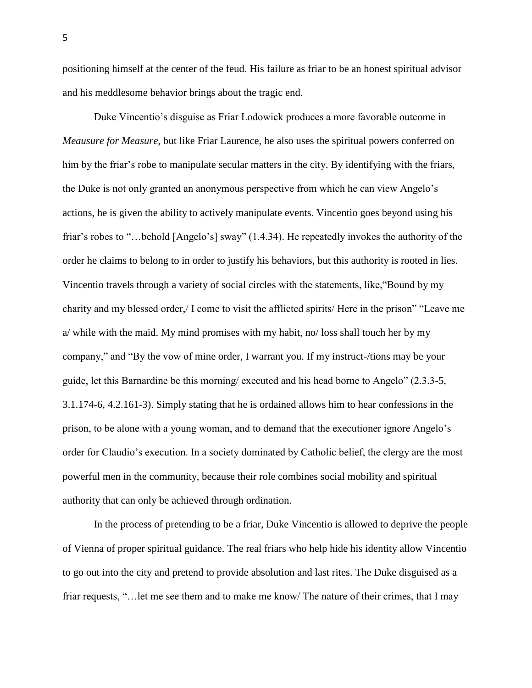positioning himself at the center of the feud. His failure as friar to be an honest spiritual advisor and his meddlesome behavior brings about the tragic end.

Duke Vincentio's disguise as Friar Lodowick produces a more favorable outcome in *Meausure for Measure*, but like Friar Laurence, he also uses the spiritual powers conferred on him by the friar's robe to manipulate secular matters in the city. By identifying with the friars, the Duke is not only granted an anonymous perspective from which he can view Angelo's actions, he is given the ability to actively manipulate events. Vincentio goes beyond using his friar's robes to "…behold [Angelo's] sway" (1.4.34). He repeatedly invokes the authority of the order he claims to belong to in order to justify his behaviors, but this authority is rooted in lies. Vincentio travels through a variety of social circles with the statements, like,"Bound by my charity and my blessed order,/ I come to visit the afflicted spirits/ Here in the prison" "Leave me a/ while with the maid. My mind promises with my habit, no/ loss shall touch her by my company," and "By the vow of mine order, I warrant you. If my instruct-/tions may be your guide, let this Barnardine be this morning/ executed and his head borne to Angelo" (2.3.3-5, 3.1.174-6, 4.2.161-3). Simply stating that he is ordained allows him to hear confessions in the prison, to be alone with a young woman, and to demand that the executioner ignore Angelo's order for Claudio's execution. In a society dominated by Catholic belief, the clergy are the most powerful men in the community, because their role combines social mobility and spiritual authority that can only be achieved through ordination.

In the process of pretending to be a friar, Duke Vincentio is allowed to deprive the people of Vienna of proper spiritual guidance. The real friars who help hide his identity allow Vincentio to go out into the city and pretend to provide absolution and last rites. The Duke disguised as a friar requests, "…let me see them and to make me know/ The nature of their crimes, that I may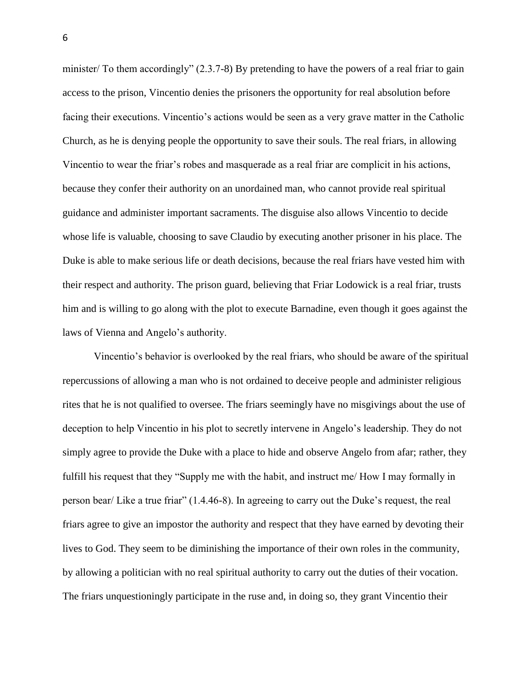minister/ To them accordingly" (2.3.7-8) By pretending to have the powers of a real friar to gain access to the prison, Vincentio denies the prisoners the opportunity for real absolution before facing their executions. Vincentio's actions would be seen as a very grave matter in the Catholic Church, as he is denying people the opportunity to save their souls. The real friars, in allowing Vincentio to wear the friar's robes and masquerade as a real friar are complicit in his actions, because they confer their authority on an unordained man, who cannot provide real spiritual guidance and administer important sacraments. The disguise also allows Vincentio to decide whose life is valuable, choosing to save Claudio by executing another prisoner in his place. The Duke is able to make serious life or death decisions, because the real friars have vested him with their respect and authority. The prison guard, believing that Friar Lodowick is a real friar, trusts him and is willing to go along with the plot to execute Barnadine, even though it goes against the laws of Vienna and Angelo's authority.

Vincentio's behavior is overlooked by the real friars, who should be aware of the spiritual repercussions of allowing a man who is not ordained to deceive people and administer religious rites that he is not qualified to oversee. The friars seemingly have no misgivings about the use of deception to help Vincentio in his plot to secretly intervene in Angelo's leadership. They do not simply agree to provide the Duke with a place to hide and observe Angelo from afar; rather, they fulfill his request that they "Supply me with the habit, and instruct me/ How I may formally in person bear/ Like a true friar" (1.4.46-8). In agreeing to carry out the Duke's request, the real friars agree to give an impostor the authority and respect that they have earned by devoting their lives to God. They seem to be diminishing the importance of their own roles in the community, by allowing a politician with no real spiritual authority to carry out the duties of their vocation. The friars unquestioningly participate in the ruse and, in doing so, they grant Vincentio their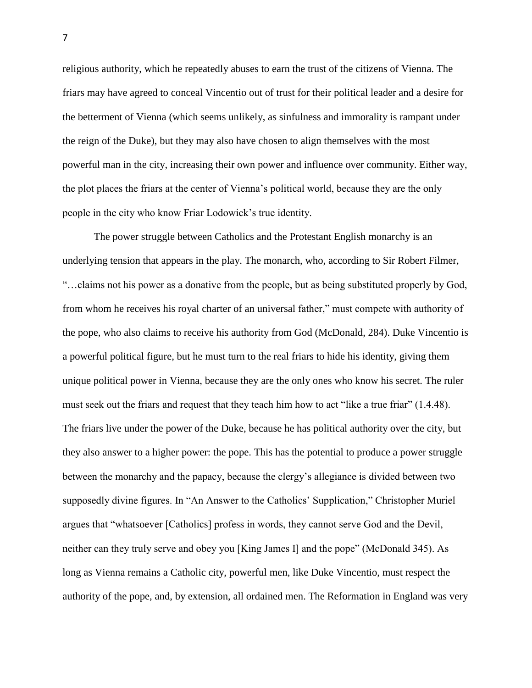religious authority, which he repeatedly abuses to earn the trust of the citizens of Vienna. The friars may have agreed to conceal Vincentio out of trust for their political leader and a desire for the betterment of Vienna (which seems unlikely, as sinfulness and immorality is rampant under the reign of the Duke), but they may also have chosen to align themselves with the most powerful man in the city, increasing their own power and influence over community. Either way, the plot places the friars at the center of Vienna's political world, because they are the only people in the city who know Friar Lodowick's true identity.

The power struggle between Catholics and the Protestant English monarchy is an underlying tension that appears in the play. The monarch, who, according to Sir Robert Filmer, "…claims not his power as a donative from the people, but as being substituted properly by God, from whom he receives his royal charter of an universal father," must compete with authority of the pope, who also claims to receive his authority from God (McDonald, 284). Duke Vincentio is a powerful political figure, but he must turn to the real friars to hide his identity, giving them unique political power in Vienna, because they are the only ones who know his secret. The ruler must seek out the friars and request that they teach him how to act "like a true friar" (1.4.48). The friars live under the power of the Duke, because he has political authority over the city, but they also answer to a higher power: the pope. This has the potential to produce a power struggle between the monarchy and the papacy, because the clergy's allegiance is divided between two supposedly divine figures. In "An Answer to the Catholics' Supplication," Christopher Muriel argues that "whatsoever [Catholics] profess in words, they cannot serve God and the Devil, neither can they truly serve and obey you [King James I] and the pope" (McDonald 345). As long as Vienna remains a Catholic city, powerful men, like Duke Vincentio, must respect the authority of the pope, and, by extension, all ordained men. The Reformation in England was very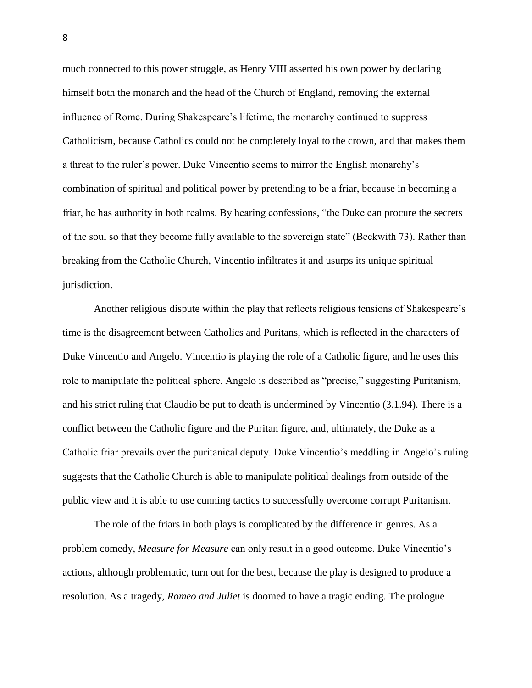much connected to this power struggle, as Henry VIII asserted his own power by declaring himself both the monarch and the head of the Church of England, removing the external influence of Rome. During Shakespeare's lifetime, the monarchy continued to suppress Catholicism, because Catholics could not be completely loyal to the crown, and that makes them a threat to the ruler's power. Duke Vincentio seems to mirror the English monarchy's combination of spiritual and political power by pretending to be a friar, because in becoming a friar, he has authority in both realms. By hearing confessions, "the Duke can procure the secrets of the soul so that they become fully available to the sovereign state" (Beckwith 73). Rather than breaking from the Catholic Church, Vincentio infiltrates it and usurps its unique spiritual jurisdiction.

Another religious dispute within the play that reflects religious tensions of Shakespeare's time is the disagreement between Catholics and Puritans, which is reflected in the characters of Duke Vincentio and Angelo. Vincentio is playing the role of a Catholic figure, and he uses this role to manipulate the political sphere. Angelo is described as "precise," suggesting Puritanism, and his strict ruling that Claudio be put to death is undermined by Vincentio (3.1.94). There is a conflict between the Catholic figure and the Puritan figure, and, ultimately, the Duke as a Catholic friar prevails over the puritanical deputy. Duke Vincentio's meddling in Angelo's ruling suggests that the Catholic Church is able to manipulate political dealings from outside of the public view and it is able to use cunning tactics to successfully overcome corrupt Puritanism.

The role of the friars in both plays is complicated by the difference in genres. As a problem comedy, *Measure for Measure* can only result in a good outcome. Duke Vincentio's actions, although problematic, turn out for the best, because the play is designed to produce a resolution. As a tragedy, *Romeo and Juliet* is doomed to have a tragic ending. The prologue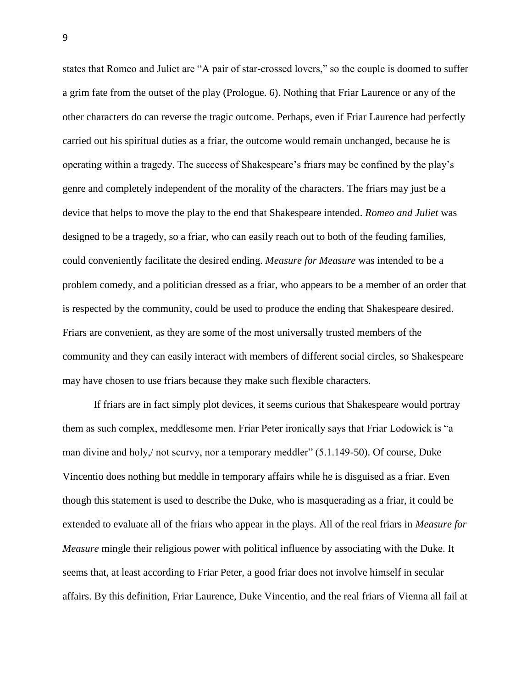states that Romeo and Juliet are "A pair of star-crossed lovers," so the couple is doomed to suffer a grim fate from the outset of the play (Prologue. 6). Nothing that Friar Laurence or any of the other characters do can reverse the tragic outcome. Perhaps, even if Friar Laurence had perfectly carried out his spiritual duties as a friar, the outcome would remain unchanged, because he is operating within a tragedy. The success of Shakespeare's friars may be confined by the play's genre and completely independent of the morality of the characters. The friars may just be a device that helps to move the play to the end that Shakespeare intended. *Romeo and Juliet* was designed to be a tragedy, so a friar, who can easily reach out to both of the feuding families, could conveniently facilitate the desired ending. *Measure for Measure* was intended to be a problem comedy, and a politician dressed as a friar, who appears to be a member of an order that is respected by the community, could be used to produce the ending that Shakespeare desired. Friars are convenient, as they are some of the most universally trusted members of the community and they can easily interact with members of different social circles, so Shakespeare may have chosen to use friars because they make such flexible characters.

If friars are in fact simply plot devices, it seems curious that Shakespeare would portray them as such complex, meddlesome men. Friar Peter ironically says that Friar Lodowick is "a man divine and holy,/ not scurvy, nor a temporary meddler" (5.1.149-50). Of course, Duke Vincentio does nothing but meddle in temporary affairs while he is disguised as a friar. Even though this statement is used to describe the Duke, who is masquerading as a friar, it could be extended to evaluate all of the friars who appear in the plays. All of the real friars in *Measure for Measure* mingle their religious power with political influence by associating with the Duke. It seems that, at least according to Friar Peter, a good friar does not involve himself in secular affairs. By this definition, Friar Laurence, Duke Vincentio, and the real friars of Vienna all fail at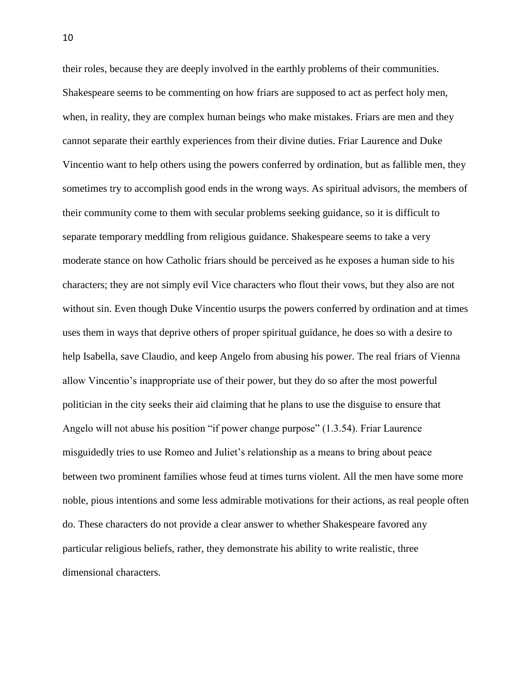their roles, because they are deeply involved in the earthly problems of their communities. Shakespeare seems to be commenting on how friars are supposed to act as perfect holy men, when, in reality, they are complex human beings who make mistakes. Friars are men and they cannot separate their earthly experiences from their divine duties. Friar Laurence and Duke Vincentio want to help others using the powers conferred by ordination, but as fallible men, they sometimes try to accomplish good ends in the wrong ways. As spiritual advisors, the members of their community come to them with secular problems seeking guidance, so it is difficult to separate temporary meddling from religious guidance. Shakespeare seems to take a very moderate stance on how Catholic friars should be perceived as he exposes a human side to his characters; they are not simply evil Vice characters who flout their vows, but they also are not without sin. Even though Duke Vincentio usurps the powers conferred by ordination and at times uses them in ways that deprive others of proper spiritual guidance, he does so with a desire to help Isabella, save Claudio, and keep Angelo from abusing his power. The real friars of Vienna allow Vincentio's inappropriate use of their power, but they do so after the most powerful politician in the city seeks their aid claiming that he plans to use the disguise to ensure that Angelo will not abuse his position "if power change purpose" (1.3.54). Friar Laurence misguidedly tries to use Romeo and Juliet's relationship as a means to bring about peace between two prominent families whose feud at times turns violent. All the men have some more noble, pious intentions and some less admirable motivations for their actions, as real people often do. These characters do not provide a clear answer to whether Shakespeare favored any particular religious beliefs, rather, they demonstrate his ability to write realistic, three dimensional characters.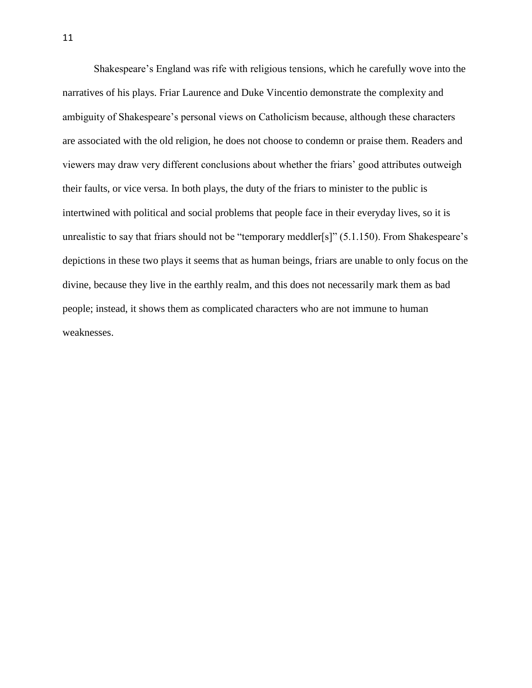Shakespeare's England was rife with religious tensions, which he carefully wove into the narratives of his plays. Friar Laurence and Duke Vincentio demonstrate the complexity and ambiguity of Shakespeare's personal views on Catholicism because, although these characters are associated with the old religion, he does not choose to condemn or praise them. Readers and viewers may draw very different conclusions about whether the friars' good attributes outweigh their faults, or vice versa. In both plays, the duty of the friars to minister to the public is intertwined with political and social problems that people face in their everyday lives, so it is unrealistic to say that friars should not be "temporary meddler[s]" (5.1.150). From Shakespeare's depictions in these two plays it seems that as human beings, friars are unable to only focus on the divine, because they live in the earthly realm, and this does not necessarily mark them as bad people; instead, it shows them as complicated characters who are not immune to human weaknesses.